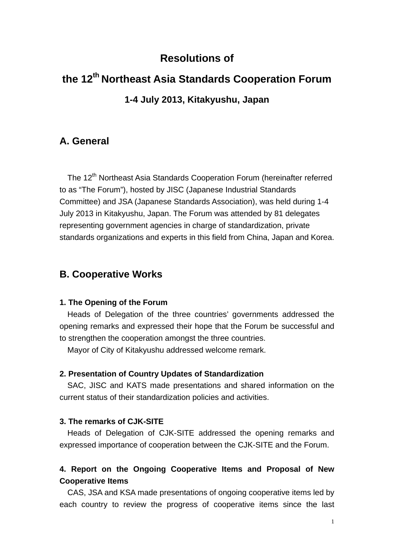# **Resolutions of**

# **the 12th Northeast Asia Standards Cooperation Forum 1-4 July 2013, Kitakyushu, Japan**

## **A. General**

The 12<sup>th</sup> Northeast Asia Standards Cooperation Forum (hereinafter referred to as "The Forum"), hosted by JISC (Japanese Industrial Standards Committee) and JSA (Japanese Standards Association), was held during 1-4 July 2013 in Kitakyushu, Japan. The Forum was attended by 81 delegates representing government agencies in charge of standardization, private standards organizations and experts in this field from China, Japan and Korea.

## **B. Cooperative Works**

#### **1. The Opening of the Forum**

Heads of Delegation of the three countries' governments addressed the opening remarks and expressed their hope that the Forum be successful and to strengthen the cooperation amongst the three countries.

Mayor of City of Kitakyushu addressed welcome remark.

#### **2. Presentation of Country Updates of Standardization**

SAC, JISC and KATS made presentations and shared information on the current status of their standardization policies and activities.

#### **3. The remarks of CJK-SITE**

Heads of Delegation of CJK-SITE addressed the opening remarks and expressed importance of cooperation between the CJK-SITE and the Forum.

## **4. Report on the Ongoing Cooperative Items and Proposal of New Cooperative Items**

CAS, JSA and KSA made presentations of ongoing cooperative items led by each country to review the progress of cooperative items since the last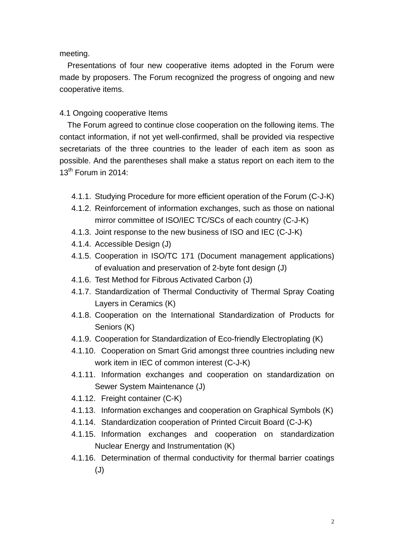meeting.

Presentations of four new cooperative items adopted in the Forum were made by proposers. The Forum recognized the progress of ongoing and new cooperative items.

#### 4.1 Ongoing cooperative Items

The Forum agreed to continue close cooperation on the following items. The contact information, if not yet well-confirmed, shall be provided via respective secretariats of the three countries to the leader of each item as soon as possible. And the parentheses shall make a status report on each item to the  $13<sup>th</sup>$  Forum in 2014:

- 4.1.1. Studying Procedure for more efficient operation of the Forum (C-J-K)
- 4.1.2. Reinforcement of information exchanges, such as those on national mirror committee of ISO/IEC TC/SCs of each country (C-J-K)
- 4.1.3. Joint response to the new business of ISO and IEC (C-J-K)
- 4.1.4. Accessible Design (J)
- 4.1.5. Cooperation in ISO/TC 171 (Document management applications) of evaluation and preservation of 2-byte font design (J)
- 4.1.6. Test Method for Fibrous Activated Carbon (J)
- 4.1.7. Standardization of Thermal Conductivity of Thermal Spray Coating Layers in Ceramics (K)
- 4.1.8. Cooperation on the International Standardization of Products for Seniors (K)
- 4.1.9. Cooperation for Standardization of Eco-friendly Electroplating (K)
- 4.1.10. Cooperation on Smart Grid amongst three countries including new work item in IEC of common interest (C-J-K)
- 4.1.11. Information exchanges and cooperation on standardization on Sewer System Maintenance (J)
- 4.1.12. Freight container (C-K)
- 4.1.13. Information exchanges and cooperation on Graphical Symbols (K)
- 4.1.14. Standardization cooperation of Printed Circuit Board (C-J-K)
- 4.1.15. Information exchanges and cooperation on standardization Nuclear Energy and Instrumentation (K)
- 4.1.16. Determination of thermal conductivity for thermal barrier coatings (J)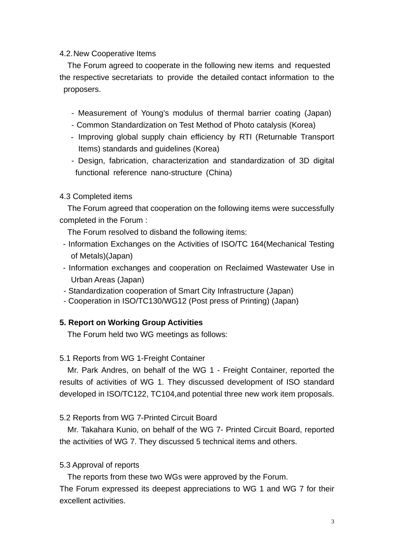#### 4.2.New Cooperative Items

The Forum agreed to cooperate in the following new items and requested the respective secretariats to provide the detailed contact information to the proposers.

- Measurement of Young's modulus of thermal barrier coating (Japan)
- Common Standardization on Test Method of Photo catalysis (Korea)
- Improving global supply chain efficiency by RTI (Returnable Transport Items) standards and guidelines (Korea)
- Design, fabrication, characterization and standardization of 3D digital functional reference nano-structure (China)

#### 4.3 Completed items

The Forum agreed that cooperation on the following items were successfully completed in the Forum :

The Forum resolved to disband the following items:

- Information Exchanges on the Activities of ISO/TC 164(Mechanical Testing of Metals)(Japan)
- Information exchanges and cooperation on Reclaimed Wastewater Use in Urban Areas (Japan)
- Standardization cooperation of Smart City Infrastructure (Japan)
- Cooperation in ISO/TC130/WG12 (Post press of Printing) (Japan)

#### **5. Report on Working Group Activities**

The Forum held two WG meetings as follows:

#### 5.1 Reports from WG 1-Freight Container

Mr. Park Andres, on behalf of the WG 1 - Freight Container, reported the results of activities of WG 1. They discussed development of ISO standard developed in ISO/TC122, TC104,and potential three new work item proposals.

#### 5.2 Reports from WG 7-Printed Circuit Board

Mr. Takahara Kunio, on behalf of the WG 7- Printed Circuit Board, reported the activities of WG 7. They discussed 5 technical items and others.

#### 5.3 Approval of reports

The reports from these two WGs were approved by the Forum.

The Forum expressed its deepest appreciations to WG 1 and WG 7 for their excellent activities.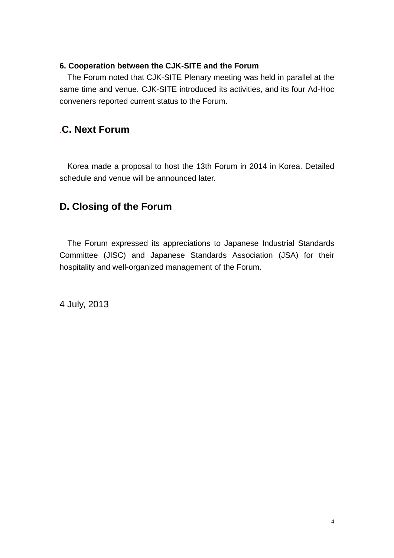### **6. Cooperation between the CJK-SITE and the Forum**

The Forum noted that CJK-SITE Plenary meeting was held in parallel at the same time and venue. CJK-SITE introduced its activities, and its four Ad-Hoc conveners reported current status to the Forum.

# .**C. Next Forum**

Korea made a proposal to host the 13th Forum in 2014 in Korea. Detailed schedule and venue will be announced later.

# **D. Closing of the Forum**

The Forum expressed its appreciations to Japanese Industrial Standards Committee (JISC) and Japanese Standards Association (JSA) for their hospitality and well-organized management of the Forum.

4 July, 2013